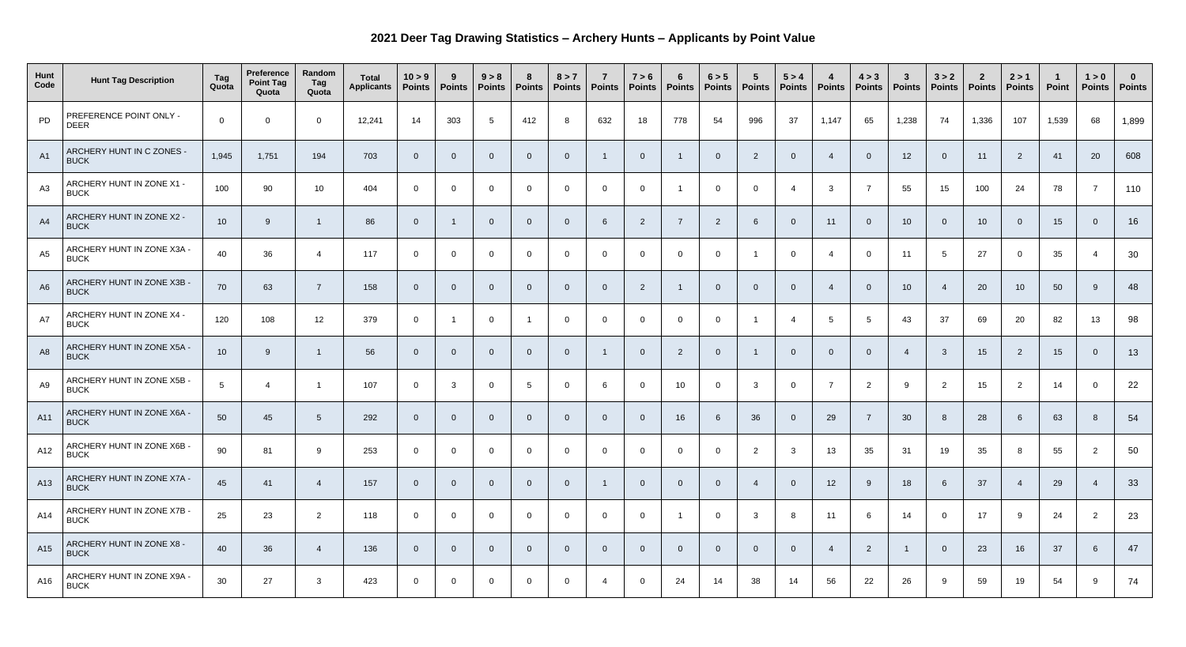## **2021 Deer Tag Drawing Statistics – Archery Hunts – Applicants by Point Value**

| Hunt<br>Code   | <b>Hunt Tag Description</b>               | Tag<br>Quota    | <b>Preference</b><br><b>Point Tag</b><br>Quota | Random<br>Tag<br>Quota | <b>Total</b><br><b>Applicants</b> | 10 > 9<br><b>Points</b> | 9<br><b>Points</b> | 9 > 8<br><b>Points</b> | 8<br><b>Points</b> | 8 > 7<br>Points | $\overline{7}$<br>Points | 7 > 6<br><b>Points</b> | $6\phantom{1}6$<br><b>Points</b> | 6 > 5<br><b>Points</b> | $5\overline{5}$<br><b>Points</b> | 5 > 4<br>Points | <b>Points</b>   | 4 > 3<br><b>Points</b> | $\mathbf{3}$<br><b>Points</b> | 3 > 2<br><b>Points</b> | $\mathbf{2}$<br><b>Points</b> | 2 > 1<br><b>Points</b> | Point | 1 > 0           | <b>U</b><br>Points   Points |
|----------------|-------------------------------------------|-----------------|------------------------------------------------|------------------------|-----------------------------------|-------------------------|--------------------|------------------------|--------------------|-----------------|--------------------------|------------------------|----------------------------------|------------------------|----------------------------------|-----------------|-----------------|------------------------|-------------------------------|------------------------|-------------------------------|------------------------|-------|-----------------|-----------------------------|
| PD             | PREFERENCE POINT ONLY -<br><b>DEER</b>    | $\overline{0}$  | $\Omega$                                       | $\overline{0}$         | 12,241                            | 14                      | 303                | 5                      | 412                | -8              | 632                      | 18                     | 778                              | 54                     | 996                              | 37              | 1,147           | 65                     | 1,238                         | 74                     | 1,336                         | 107                    | 1,539 | 68              | 1,899                       |
| A1             | ARCHERY HUNT IN C ZONES -<br><b>BUCK</b>  | 1,945           | 1,751                                          | 194                    | 703                               |                         | $\overline{0}$     | $\Omega$               | $\overline{0}$     | $\Omega$        |                          | $\Omega$               |                                  |                        | $\overline{2}$                   |                 |                 |                        | 12                            | $\overline{0}$         | 11                            | $\overline{2}$         | 41    | 20              | 608                         |
| A <sub>3</sub> | ARCHERY HUNT IN ZONE X1 -<br><b>BUCK</b>  | 100             | 90                                             | 10                     | 404                               |                         | $\overline{0}$     | $\Omega$               | $\overline{0}$     | $\Omega$        | $\overline{0}$           | $\Omega$               |                                  | $\Omega$               | $\overline{0}$                   |                 | $\mathbf{3}$    |                        | 55                            | 15                     | 100                           | 24                     | 78    | $\overline{7}$  | 110                         |
| A4             | ARCHERY HUNT IN ZONE X2 -<br><b>BUCK</b>  | 10 <sup>°</sup> | 9                                              |                        | 86                                | 0                       |                    | $\overline{0}$         | $\overline{0}$     | $\overline{0}$  | 6                        | $\overline{2}$         | $\overline{7}$                   | $\overline{2}$         | 6                                |                 | 11              |                        | 10 <sup>°</sup>               | $\Omega$               | 10 <sup>°</sup>               | - 0                    | 15    |                 | 16                          |
| A5             | ARCHERY HUNT IN ZONE X3A -<br><b>BUCK</b> | 40              | 36                                             |                        | 117                               | $\Omega$                | $\overline{0}$     | $\Omega$               | $\overline{0}$     | $\Omega$        | $\overline{0}$           | $\Omega$               | $\Omega$                         | $\overline{0}$         |                                  |                 | 4               |                        | 11                            | -5                     | 27                            |                        | 35    |                 | 30                          |
| A <sub>6</sub> | ARCHERY HUNT IN ZONE X3B -<br><b>BUCK</b> | 70              | 63                                             | $\overline{7}$         | 158                               |                         | $\overline{0}$     | $\Omega$               | $\overline{0}$     | $\Omega$        | $\overline{0}$           | $\overline{2}$         |                                  | $\Omega$               | $\overline{0}$                   |                 |                 |                        | 10 <sup>°</sup>               |                        | 20                            | 10 <sup>°</sup>        | 50    | -9              | 48                          |
| A7             | ARCHERY HUNT IN ZONE X4 -<br><b>BUCK</b>  | 120             | 108                                            | 12                     | 379                               | $\Omega$                |                    | $\overline{0}$         |                    | $\Omega$        | $\overline{0}$           |                        | $\Omega$                         | $\overline{0}$         |                                  |                 | $5\overline{)}$ |                        | 43                            | 37                     | 69                            | 20                     | 82    | 13              | 98                          |
| A <sub>8</sub> | ARCHERY HUNT IN ZONE X5A -<br><b>BUCK</b> | 10 <sup>°</sup> | 9                                              |                        | 56                                |                         | $\overline{0}$     | $\Omega$               | $\overline{0}$     | $\overline{0}$  | - 1                      | $\overline{0}$         | $\overline{2}$                   | $\overline{0}$         |                                  |                 |                 |                        |                               | $\mathbf{3}$           | 15                            | $\overline{2}$         | 15    | $\overline{0}$  | 13                          |
| A <sub>9</sub> | ARCHERY HUNT IN ZONE X5B -<br><b>BUCK</b> |                 |                                                |                        | 107                               | 0                       | $\mathbf{3}$       |                        | 5                  |                 |                          |                        | 10 <sup>°</sup>                  |                        | 3                                |                 |                 | $\overline{2}$         | 9                             | $\overline{2}$         | 15                            | $\overline{2}$         | 14    |                 | 22                          |
| A11            | ARCHERY HUNT IN ZONE X6A -<br><b>BUCK</b> | 50              | 45                                             | $5\overline{)}$        | 292                               | 0                       | $\overline{0}$     | $\Omega$               | $\overline{0}$     | $\Omega$        | $\overline{0}$           | $\Omega$               | 16                               | 6                      | 36                               |                 | 29              |                        | 30                            |                        | 28                            |                        | 63    | 8               | 54                          |
| A12            | ARCHERY HUNT IN ZONE X6B -<br><b>BUCK</b> | 90              | 81                                             | 9                      | 253                               | $\overline{0}$          | $\overline{0}$     | $\overline{0}$         | $\overline{0}$     | $\overline{0}$  | $\overline{0}$           | $\overline{0}$         | $\overline{0}$                   | $\overline{0}$         | $\overline{2}$                   | $\mathbf{3}$    | 13              | 35                     | 31                            | 19                     | 35                            | 8                      | 55    | $\overline{2}$  | 50                          |
| A13            | ARCHERY HUNT IN ZONE X7A -<br><b>BUCK</b> | 45              | 41                                             | $\overline{4}$         | 157                               | $\Omega$                | $\overline{0}$     | $\overline{0}$         | $\overline{0}$     | $\overline{0}$  |                          | $\overline{0}$         | $\overline{0}$                   | $\Omega$               | $\overline{4}$                   |                 | 12              | -9                     | 18                            | 6                      | 37                            |                        | 29    | $\overline{4}$  | 33                          |
| A14            | ARCHERY HUNT IN ZONE X7B -<br><b>BUCK</b> | 25              | 23                                             | $\overline{2}$         | 118                               | $\overline{0}$          | $\overline{0}$     | $\overline{0}$         | $\overline{0}$     | $\overline{0}$  | $\overline{0}$           | $\overline{0}$         | $\overline{\phantom{0}}$         | $\overline{0}$         | $\mathbf{3}$                     | 8               | 11              | -6                     | 14                            | $\overline{0}$         | 17                            | - 9                    | 24    | $\overline{2}$  | 23                          |
| A15            | ARCHERY HUNT IN ZONE X8 -<br><b>BUCK</b>  | 40              | 36                                             | $\overline{4}$         | 136                               | 0                       | $\overline{0}$     | $\overline{0}$         | $\overline{0}$     | $\overline{0}$  | $\overline{0}$           | $\Omega$               | $\overline{0}$                   | $\Omega$               | $\overline{0}$                   |                 | -4              | $\overline{2}$         |                               | $\overline{0}$         | 23                            | 16                     | 37    | $6\overline{6}$ | 47                          |
| A16            | ARCHERY HUNT IN ZONE X9A -<br><b>BUCK</b> | 30 <sup>°</sup> | 27                                             | $\mathbf{3}$           | 423                               | $\overline{0}$          | $\overline{0}$     | $\overline{0}$         | $\overline{0}$     | $\overline{0}$  | 4                        | $\overline{0}$         | 24                               | 14                     | 38                               | 14              | 56              | 22                     | 26                            | -9                     | 59                            | 19                     | 54    | 9               | 74                          |